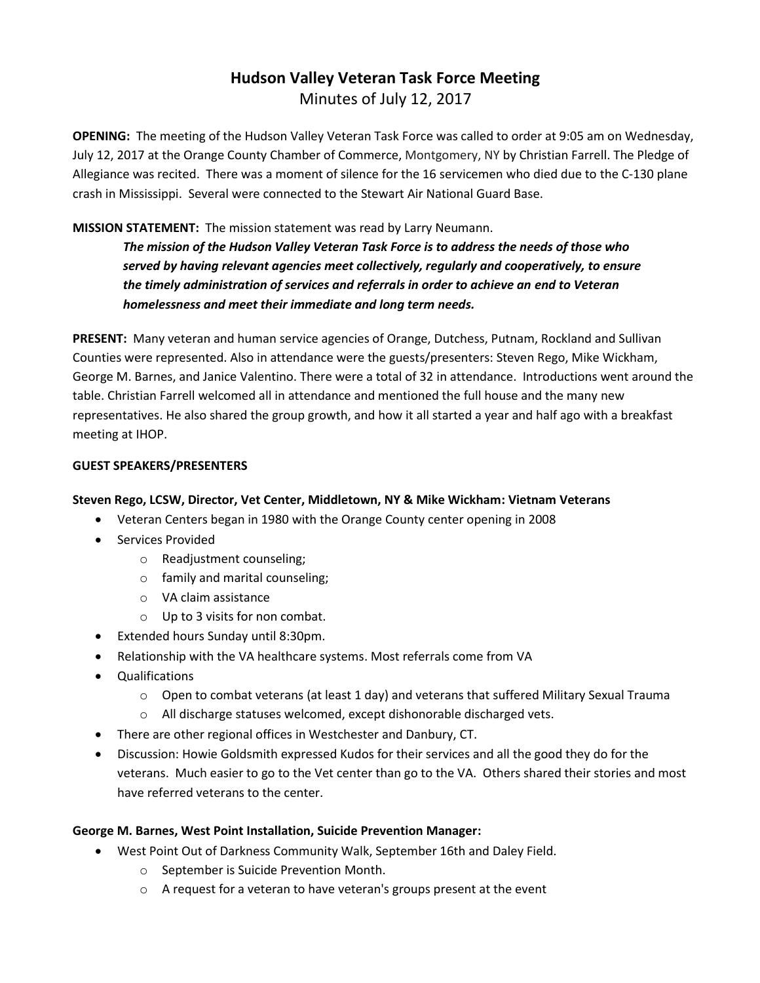# **Hudson Valley Veteran Task Force Meeting**  Minutes of July 12, 2017

**OPENING:** The meeting of the Hudson Valley Veteran Task Force was called to order at 9:05 am on Wednesday, July 12, 2017 at the Orange County Chamber of Commerce, Montgomery, NY by Christian Farrell. The Pledge of Allegiance was recited. There was a moment of silence for the 16 servicemen who died due to the C-130 plane crash in Mississippi. Several were connected to the Stewart Air National Guard Base.

# **MISSION STATEMENT:** The mission statement was read by Larry Neumann.

*The mission of the Hudson Valley Veteran Task Force is to address the needs of those who served by having relevant agencies meet collectively, regularly and cooperatively, to ensure the timely administration of services and referrals in order to achieve an end to Veteran homelessness and meet their immediate and long term needs.* 

**PRESENT:** Many veteran and human service agencies of Orange, Dutchess, Putnam, Rockland and Sullivan Counties were represented. Also in attendance were the guests/presenters: Steven Rego, Mike Wickham, George M. Barnes, and Janice Valentino. There were a total of 32 in attendance. Introductions went around the table. Christian Farrell welcomed all in attendance and mentioned the full house and the many new representatives. He also shared the group growth, and how it all started a year and half ago with a breakfast meeting at IHOP.

#### **GUEST SPEAKERS/PRESENTERS**

# **Steven Rego, LCSW, Director, Vet Center, Middletown, NY & Mike Wickham: Vietnam Veterans**

- Veteran Centers began in 1980 with the Orange County center opening in 2008
- Services Provided
	- o Readjustment counseling;
	- o family and marital counseling;
	- o VA claim assistance
	- o Up to 3 visits for non combat.
- Extended hours Sunday until 8:30pm.
- Relationship with the VA healthcare systems. Most referrals come from VA
- Qualifications
	- $\circ$  Open to combat veterans (at least 1 day) and veterans that suffered Military Sexual Trauma
	- o All discharge statuses welcomed, except dishonorable discharged vets.
- There are other regional offices in Westchester and Danbury, CT.
- Discussion: Howie Goldsmith expressed Kudos for their services and all the good they do for the veterans. Much easier to go to the Vet center than go to the VA. Others shared their stories and most have referred veterans to the center.

#### **George M. Barnes, West Point Installation, Suicide Prevention Manager:**

- West Point Out of Darkness Community Walk, September 16th and Daley Field.
	- o September is Suicide Prevention Month.
	- o A request for a veteran to have veteran's groups present at the event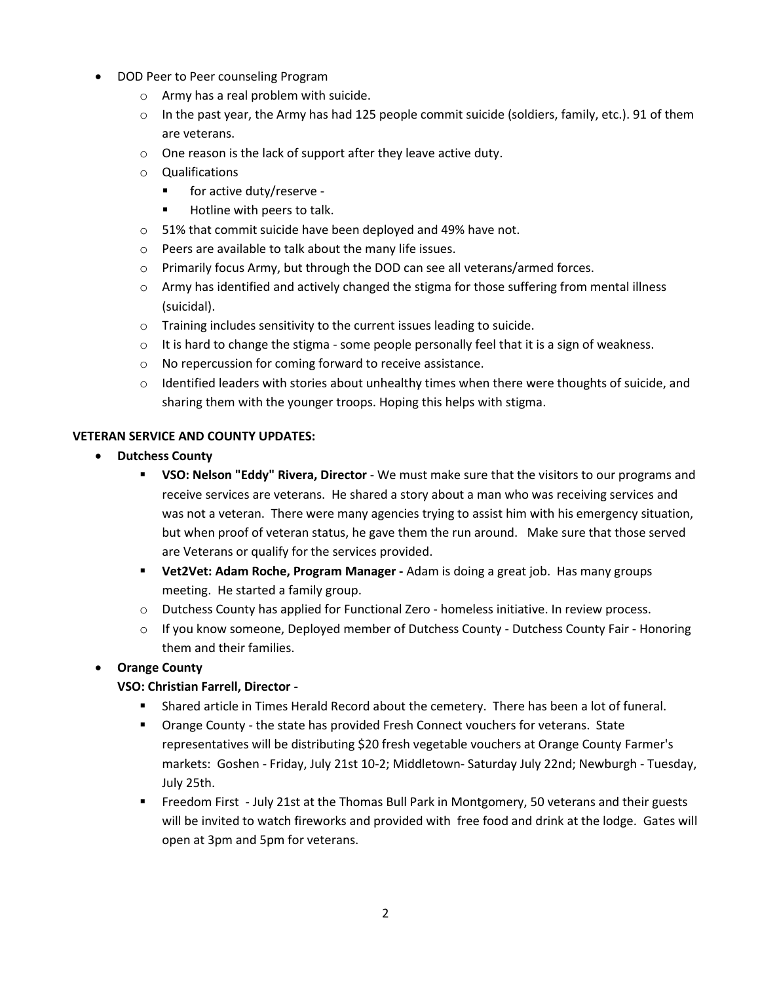- DOD Peer to Peer counseling Program
	- o Army has a real problem with suicide.
	- o In the past year, the Army has had 125 people commit suicide (soldiers, family, etc.). 91 of them are veterans.
	- o One reason is the lack of support after they leave active duty.
	- o Qualifications
		- for active duty/reserve -
		- Hotline with peers to talk.
	- o 51% that commit suicide have been deployed and 49% have not.
	- o Peers are available to talk about the many life issues.
	- o Primarily focus Army, but through the DOD can see all veterans/armed forces.
	- $\circ$  Army has identified and actively changed the stigma for those suffering from mental illness (suicidal).
	- o Training includes sensitivity to the current issues leading to suicide.
	- $\circ$  It is hard to change the stigma some people personally feel that it is a sign of weakness.
	- o No repercussion for coming forward to receive assistance.
	- o Identified leaders with stories about unhealthy times when there were thoughts of suicide, and sharing them with the younger troops. Hoping this helps with stigma.

#### **VETERAN SERVICE AND COUNTY UPDATES:**

- **Dutchess County**
	- **VSO: Nelson "Eddy" Rivera, Director** We must make sure that the visitors to our programs and receive services are veterans. He shared a story about a man who was receiving services and was not a veteran. There were many agencies trying to assist him with his emergency situation, but when proof of veteran status, he gave them the run around. Make sure that those served are Veterans or qualify for the services provided.
	- **Vet2Vet: Adam Roche, Program Manager -** Adam is doing a great job. Has many groups meeting. He started a family group.
	- o Dutchess County has applied for Functional Zero homeless initiative. In review process.
	- o If you know someone, Deployed member of Dutchess County Dutchess County Fair Honoring them and their families.

# • **Orange County**

# **VSO: Christian Farrell, Director -**

- **EXECT** Shared article in Times Herald Record about the cemetery. There has been a lot of funeral.
- Orange County the state has provided Fresh Connect vouchers for veterans. State representatives will be distributing \$20 fresh vegetable vouchers at Orange County Farmer's markets: Goshen - Friday, July 21st 10-2; Middletown- Saturday July 22nd; Newburgh - Tuesday, July 25th.
- Freedom First July 21st at the Thomas Bull Park in Montgomery, 50 veterans and their guests will be invited to watch fireworks and provided with free food and drink at the lodge. Gates will open at 3pm and 5pm for veterans.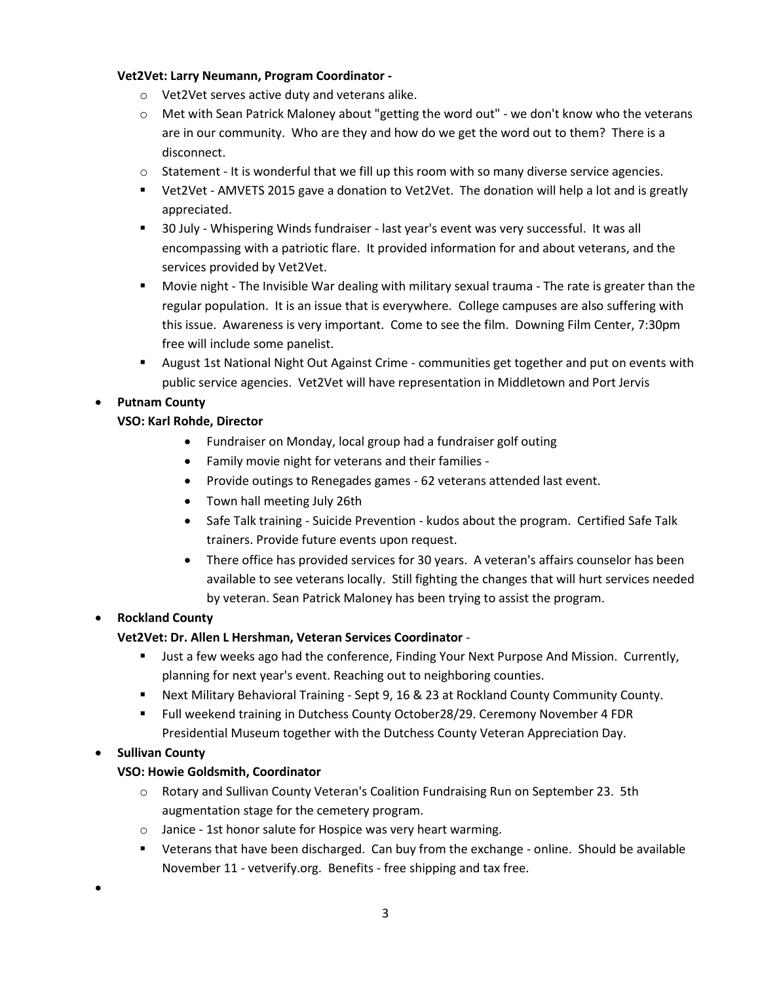#### **Vet2Vet: Larry Neumann, Program Coordinator -**

- o Vet2Vet serves active duty and veterans alike.
- o Met with Sean Patrick Maloney about "getting the word out" we don't know who the veterans are in our community. Who are they and how do we get the word out to them? There is a disconnect.
- $\circ$  Statement It is wonderful that we fill up this room with so many diverse service agencies.
- Vet2Vet AMVETS 2015 gave a donation to Vet2Vet. The donation will help a lot and is greatly appreciated.
- 30 July Whispering Winds fundraiser last year's event was very successful. It was all encompassing with a patriotic flare. It provided information for and about veterans, and the services provided by Vet2Vet.
- Movie night The Invisible War dealing with military sexual trauma The rate is greater than the regular population. It is an issue that is everywhere. College campuses are also suffering with this issue. Awareness is very important. Come to see the film. Downing Film Center, 7:30pm free will include some panelist.
- August 1st National Night Out Against Crime communities get together and put on events with public service agencies. Vet2Vet will have representation in Middletown and Port Jervis

# • **Putnam County**

# **VSO: Karl Rohde, Director**

- Fundraiser on Monday, local group had a fundraiser golf outing
- Family movie night for veterans and their families -
- Provide outings to Renegades games 62 veterans attended last event.
- Town hall meeting July 26th
- Safe Talk training Suicide Prevention kudos about the program. Certified Safe Talk trainers. Provide future events upon request.
- There office has provided services for 30 years. A veteran's affairs counselor has been available to see veterans locally. Still fighting the changes that will hurt services needed by veteran. Sean Patrick Maloney has been trying to assist the program.

# • **Rockland County**

# **Vet2Vet: Dr. Allen L Hershman, Veteran Services Coordinator** -

- Just a few weeks ago had the conference, Finding Your Next Purpose And Mission. Currently, planning for next year's event. Reaching out to neighboring counties.
- Next Military Behavioral Training Sept 9, 16 & 23 at Rockland County Community County.
- Full weekend training in Dutchess County October28/29. Ceremony November 4 FDR Presidential Museum together with the Dutchess County Veteran Appreciation Day.

# • **Sullivan County**

•

# **VSO: Howie Goldsmith, Coordinator**

- o Rotary and Sullivan County Veteran's Coalition Fundraising Run on September 23. 5th augmentation stage for the cemetery program.
- o Janice 1st honor salute for Hospice was very heart warming.
- Veterans that have been discharged. Can buy from the exchange online. Should be available November 11 - vetverify.org. Benefits - free shipping and tax free.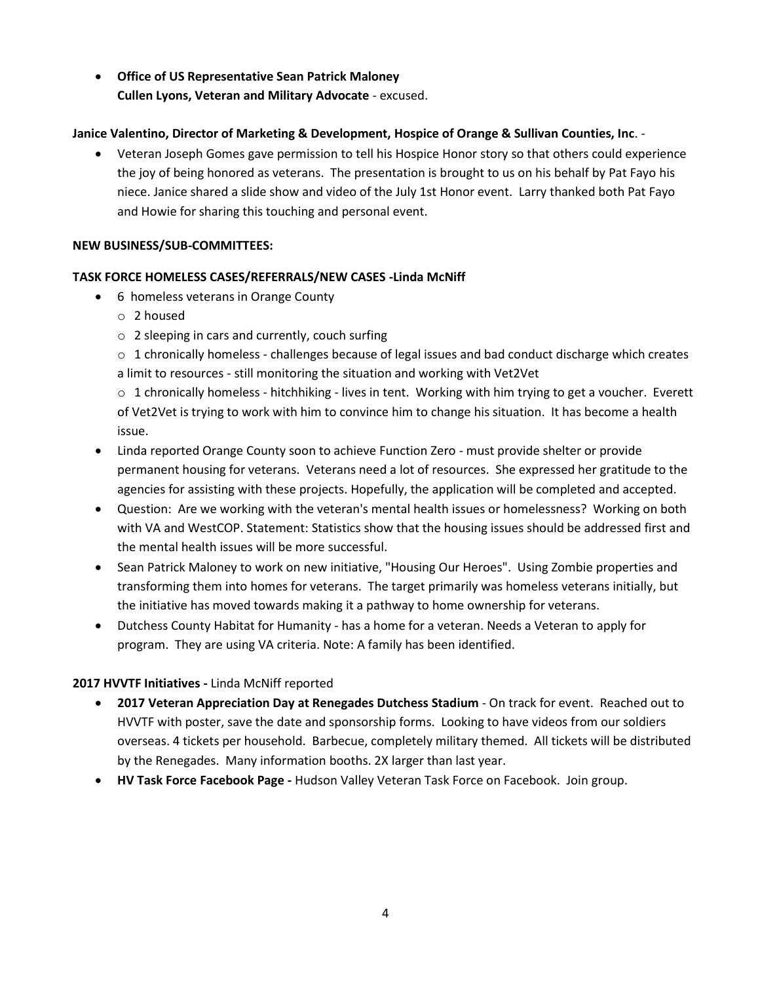• **Office of US Representative Sean Patrick Maloney Cullen Lyons, Veteran and Military Advocate** - excused.

# **Janice Valentino, Director of Marketing & Development, Hospice of Orange & Sullivan Counties, Inc**. -

• Veteran Joseph Gomes gave permission to tell his Hospice Honor story so that others could experience the joy of being honored as veterans. The presentation is brought to us on his behalf by Pat Fayo his niece. Janice shared a slide show and video of the July 1st Honor event. Larry thanked both Pat Fayo and Howie for sharing this touching and personal event.

#### **NEW BUSINESS/SUB-COMMITTEES:**

#### **TASK FORCE HOMELESS CASES/REFERRALS/NEW CASES -Linda McNiff**

- 6 homeless veterans in Orange County
	- o 2 housed
	- o 2 sleeping in cars and currently, couch surfing
	- $\circ$  1 chronically homeless challenges because of legal issues and bad conduct discharge which creates a limit to resources - still monitoring the situation and working with Vet2Vet

 $\circ$  1 chronically homeless - hitchhiking - lives in tent. Working with him trying to get a voucher. Everett of Vet2Vet is trying to work with him to convince him to change his situation. It has become a health issue.

- Linda reported Orange County soon to achieve Function Zero must provide shelter or provide permanent housing for veterans. Veterans need a lot of resources. She expressed her gratitude to the agencies for assisting with these projects. Hopefully, the application will be completed and accepted.
- Question: Are we working with the veteran's mental health issues or homelessness? Working on both with VA and WestCOP. Statement: Statistics show that the housing issues should be addressed first and the mental health issues will be more successful.
- Sean Patrick Maloney to work on new initiative, "Housing Our Heroes". Using Zombie properties and transforming them into homes for veterans. The target primarily was homeless veterans initially, but the initiative has moved towards making it a pathway to home ownership for veterans.
- Dutchess County Habitat for Humanity has a home for a veteran. Needs a Veteran to apply for program. They are using VA criteria. Note: A family has been identified.

# **2017 HVVTF Initiatives -** Linda McNiff reported

- **2017 Veteran Appreciation Day at Renegades Dutchess Stadium** On track for event. Reached out to HVVTF with poster, save the date and sponsorship forms. Looking to have videos from our soldiers overseas. 4 tickets per household. Barbecue, completely military themed. All tickets will be distributed by the Renegades. Many information booths. 2X larger than last year.
- **HV Task Force Facebook Page -** Hudson Valley Veteran Task Force on Facebook. Join group.